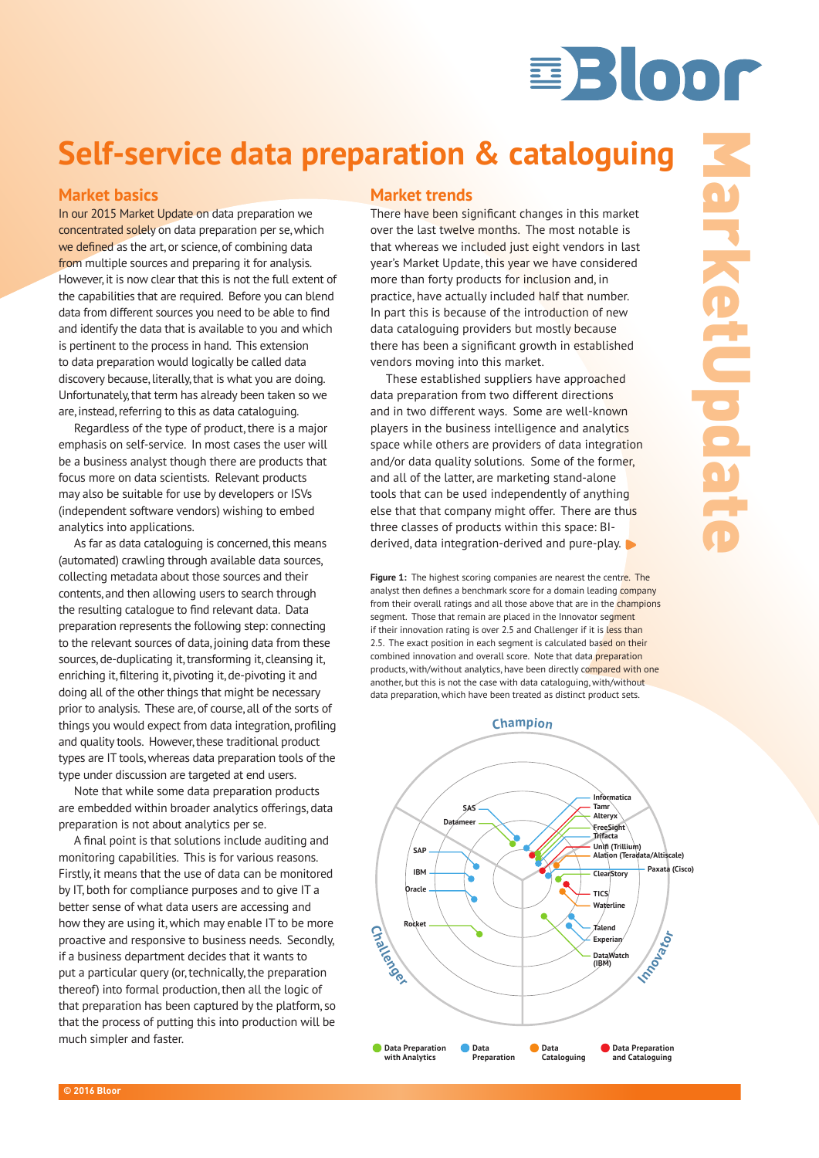# Bloor

# **Self-service data preparation & cataloguing**

# **Market basics**

In our 2015 Market Update on data preparation we concentrated solely on data preparation per se, which we defined as the art, or science, of combining data from multiple sources and preparing it for analysis. However, it is now clear that this is not the full extent of the capabilities that are required. Before you can blend data from different sources you need to be able to find and identify the data that is available to you and which is pertinent to the process in hand. This extension to data preparation would logically be called data discovery because, literally, that is what you are doing. Unfortunately, that term has already been taken so we are, instead, referring to this as data cataloguing.

Regardless of the type of product, there is a major emphasis on self-service. In most cases the user will be a business analyst though there are products that focus more on data scientists. Relevant products may also be suitable for use by developers or ISVs (independent software vendors) wishing to embed analytics into applications.

As far as data cataloguing is concerned, this means (automated) crawling through available data sources, collecting metadata about those sources and their contents, and then allowing users to search through the resulting catalogue to find relevant data. Data preparation represents the following step: connecting to the relevant sources of data, joining data from these sources, de-duplicating it, transforming it, cleansing it, enriching it, filtering it, pivoting it, de-pivoting it and doing all of the other things that might be necessary prior to analysis. These are, of course, all of the sorts of things you would expect from data integration, profiling and quality tools. However, these traditional product types are IT tools, whereas data preparation tools of the type under discussion are targeted at end users.

Note that while some data preparation products are embedded within broader analytics offerings, data preparation is not about analytics per se.

A final point is that solutions include auditing and monitoring capabilities. This is for various reasons. Firstly, it means that the use of data can be monitored by IT, both for compliance purposes and to give IT a better sense of what data users are accessing and how they are using it, which may enable IT to be more proactive and responsive to business needs. Secondly, if a business department decides that it wants to put a particular query (or, technically, the preparation thereof) into formal production, then all the logic of that preparation has been captured by the platform, so that the process of putting this into production will be much simpler and faster.

# **Market trends**

There have been significant changes in this market over the last twelve months. The most notable is that whereas we included just eight vendors in last year's Market Update, this year we have considered more than forty products for inclusion and, in practice, have actually included half that number. In part this is because of the introduction of new data cataloguing providers but mostly because there has been a significant growth in established vendors moving into this market.

These established suppliers have approached data preparation from two different directions and in two different ways. Some are well-known players in the business intelligence and analytics space while others are providers of data integration and/or data quality solutions. Some of the former, and all of the latter, are marketing stand-alone tools that can be used independently of anything else that that company might offer. There are thus three classes of products within this space: BIderived, data integration-derived and pure-play.

Figure 1: The highest scoring companies are nearest the centre. The analyst then defines a benchmark score for a domain leading company from their overall ratings and all those above that are in the champions segment. Those that remain are placed in the Innovator segment if their innovation rating is over 2.5 and Challenger if it is less than 2.5. The exact position in each segment is calculated based on their combined innovation and overall score. Note that data preparation products, with/without analytics, have been directly compared with one another, but this is not the case with data cataloguing, with/without data preparation, which have been treated as distinct product sets.

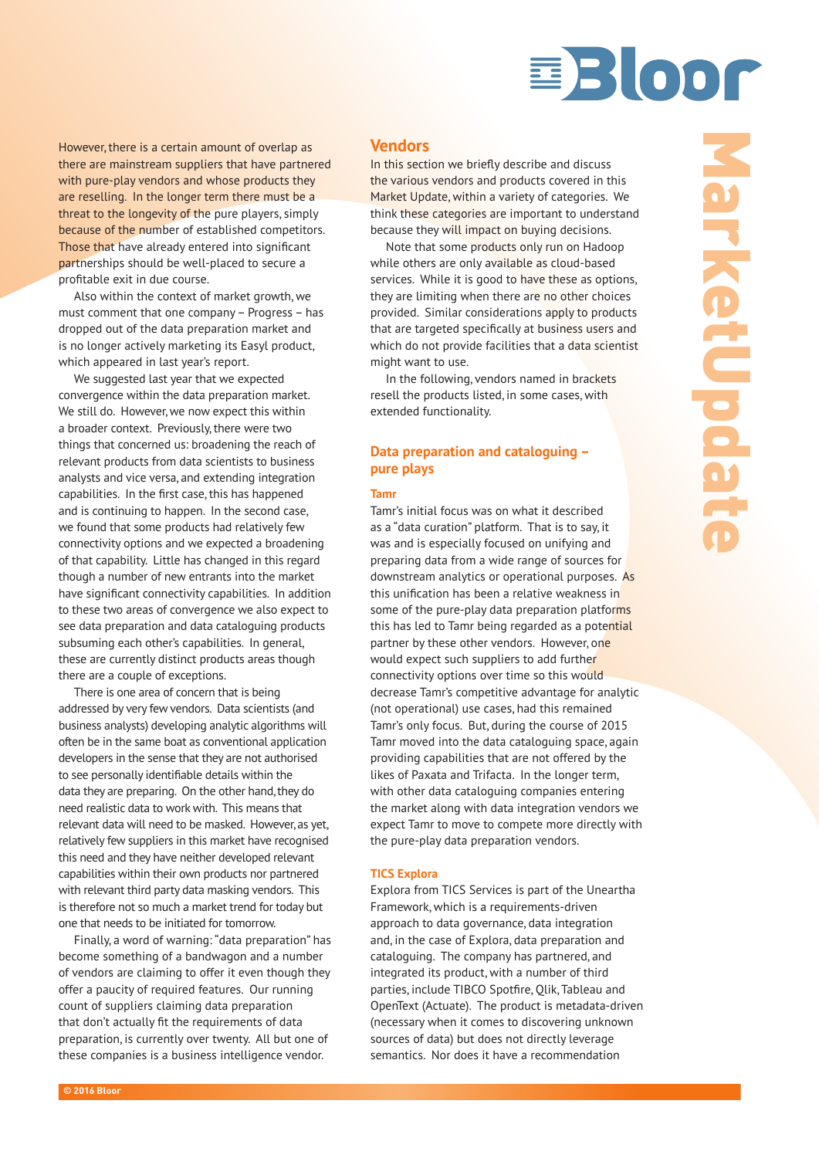

However, there is a certain amount of overlap as there are mainstream suppliers that have partnered with pure-play vendors and whose products they are reselling. In the longer term there must be a threat to the longevity of the pure players, simply because of the number of established competitors. Those that have already entered into significant partnerships should be well-placed to secure a profitable exit in due course.

Also within the context of market growth, we must comment that one company – Progress – has dropped out of the data preparation market and is no longer actively marketing its Easyl product, which appeared in last year's report.

We suggested last year that we expected convergence within the data preparation market. We still do. However, we now expect this within a broader context. Previously, there were two things that concerned us: broadening the reach of relevant products from data scientists to business analysts and vice versa, and extending integration capabilities. In the first case, this has happened and is continuing to happen. In the second case, we found that some products had relatively few connectivity options and we expected a broadening of that capability. Little has changed in this regard though a number of new entrants into the market have significant connectivity capabilities. In addition to these two areas of convergence we also expect to see data preparation and data cataloguing products subsuming each other's capabilities. In general, these are currently distinct products areas though there are a couple of exceptions.

There is one area of concern that is being addressed by very few vendors. Data scientists (and business analysts) developing analytic algorithms will often be in the same boat as conventional application developers in the sense that they are not authorised to see personally identifiable details within the data they are preparing. On the other hand, they do need realistic data to work with. This means that relevant data will need to be masked. However, as yet, relatively few suppliers in this market have recognised this need and they have neither developed relevant capabilities within their own products nor partnered with relevant third party data masking vendors. This is therefore not so much a market trend for today but one that needs to be initiated for tomorrow.

Finally, a word of warning: "data preparation" has become something of a bandwagon and a number of vendors are claiming to offer it even though they offer a paucity of required features. Our running count of suppliers claiming data preparation that don't actually fit the requirements of data preparation, is currently over twenty. All but one of these companies is a business intelligence vendor.

### **Vendors**

In this section we briefly describe and discuss the various vendors and products covered in this Market Update, within a variety of categories. We think these categories are important to understand because they will impact on buying decisions.

Note that some products only run on Hadoop while others are only available as cloud-based services. While it is good to have these as options, they are limiting when there are no other choices provided. Similar considerations apply to products that are targeted specifically at business users and which do not provide facilities that a data scientist might want to use.

In the following, vendors named in brackets resell the products listed, in some cases, with extended functionality.

# **Data preparation and cataloguing – pure plays**

#### **Tamr**

Tamr's initial focus was on what it described as a "data curation" platform. That is to say, it was and is especially focused on unifying and preparing data from a wide range of sources for downstream analytics or operational purposes. As this unification has been a relative weakness in some of the pure-play data preparation platforms this has led to Tamr being regarded as a potential partner by these other vendors. However, one would expect such suppliers to add further connectivity options over time so this would decrease Tamr's competitive advantage for analytic (not operational) use cases, had this remained Tamr's only focus. But, during the course of 2015 Tamr moved into the data cataloguing space, again providing capabilities that are not offered by the likes of Paxata and Trifacta. In the longer term, with other data cataloguing companies entering the market along with data integration vendors we expect Tamr to move to compete more directly with the pure-play data preparation vendors.

#### **TICS Explora**

Explora from TICS Services is part of the Uneartha Framework, which is a requirements-driven approach to data governance, data integration and, in the case of Explora, data preparation and cataloguing. The company has partnered, and integrated its product, with a number of third parties, include TIBCO Spotfire, Qlik, Tableau and OpenText (Actuate). The product is metadata-driven (necessary when it comes to discovering unknown sources of data) but does not directly leverage semantics. Nor does it have a recommendation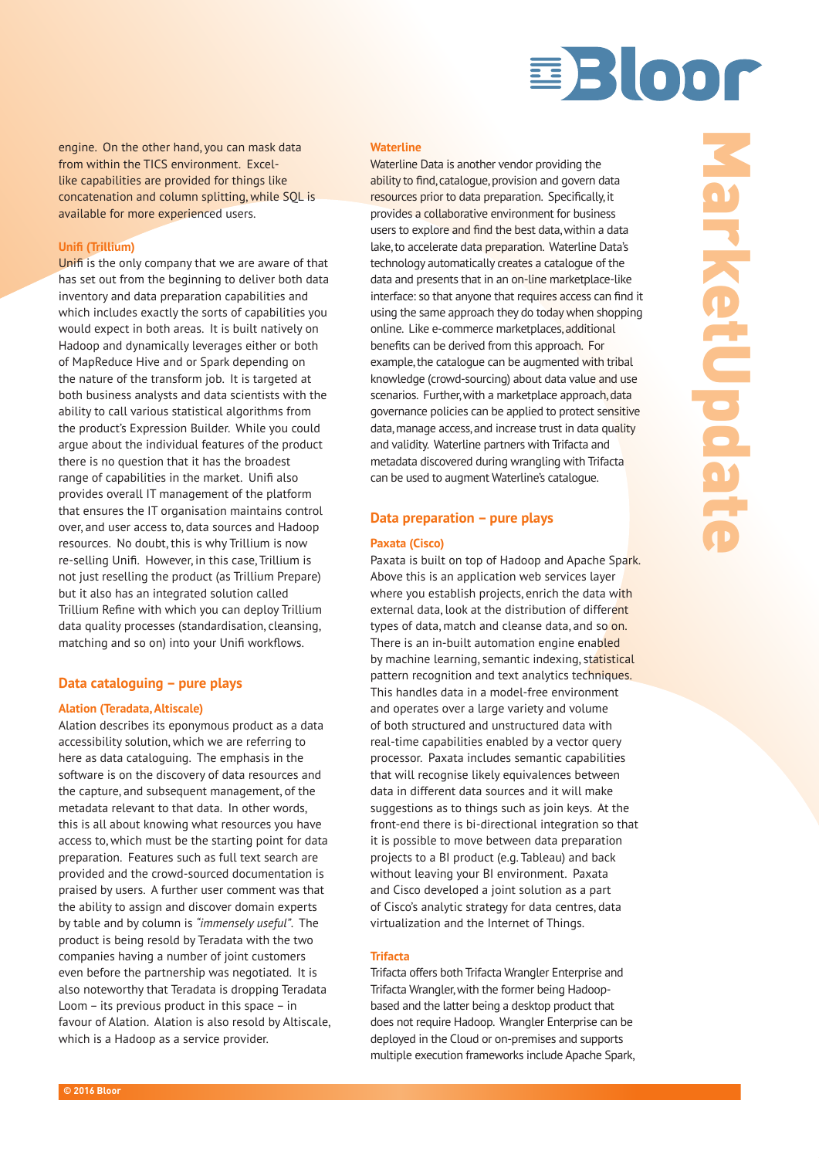

engine. On the other hand, you can mask data from within the TICS environment. Excellike capabilities are provided for things like concatenation and column splitting, while SQL is available for more experienced users.

#### **Unifi (Trillium)**

Unifi is the only company that we are aware of that has set out from the beginning to deliver both data inventory and data preparation capabilities and which includes exactly the sorts of capabilities you would expect in both areas. It is built natively on Hadoop and dynamically leverages either or both of MapReduce Hive and or Spark depending on the nature of the transform job. It is targeted at both business analysts and data scientists with the ability to call various statistical algorithms from the product's Expression Builder. While you could argue about the individual features of the product there is no question that it has the broadest range of capabilities in the market. Unifi also provides overall IT management of the platform that ensures the IT organisation maintains control over, and user access to, data sources and Hadoop resources. No doubt, this is why Trillium is now re-selling Unifi. However, in this case, Trillium is not just reselling the product (as Trillium Prepare) but it also has an integrated solution called Trillium Refine with which you can deploy Trillium data quality processes (standardisation, cleansing, matching and so on) into your Unifi workflows.

### **Data cataloguing – pure plays**

#### **Alation (Teradata, Altiscale)**

Alation describes its eponymous product as a data accessibility solution, which we are referring to here as data cataloguing. The emphasis in the software is on the discovery of data resources and the capture, and subsequent management, of the metadata relevant to that data. In other words, this is all about knowing what resources you have access to, which must be the starting point for data preparation. Features such as full text search are provided and the crowd-sourced documentation is praised by users. A further user comment was that the ability to assign and discover domain experts by table and by column is *"immensely useful"*. The product is being resold by Teradata with the two companies having a number of joint customers even before the partnership was negotiated. It is also noteworthy that Teradata is dropping Teradata Loom – its previous product in this space – in favour of Alation. Alation is also resold by Altiscale, which is a Hadoop as a service provider.

#### **Waterline**

Waterline Data is another vendor providing the ability to find, catalogue, provision and govern data resources prior to data preparation. Specifically, it provides a collaborative environment for business users to explore and find the best data, within a data lake, to accelerate data preparation. Waterline Data's technology automatically creates a catalogue of the data and presents that in an on-line marketplace-like interface: so that anyone that requires access can find it using the same approach they do today when shopping online. Like e-commerce marketplaces, additional benefits can be derived from this approach. For example, the catalogue can be augmented with tribal knowledge (crowd-sourcing) about data value and use scenarios. Further, with a marketplace approach, data governance policies can be applied to protect sensitive data, manage access, and increase trust in data quality and validity. Waterline partners with Trifacta and metadata discovered during wrangling with Trifacta can be used to augment Waterline's catalogue.

# **Data preparation – pure plays**

#### **Paxata (Cisco)**

Paxata is built on top of Hadoop and Apache Spark. Above this is an application web services layer where you establish projects, enrich the data with external data, look at the distribution of different types of data, match and cleanse data, and so on. There is an in-built automation engine enabled by machine learning, semantic indexing, statistical pattern recognition and text analytics techniques. This handles data in a model-free environment and operates over a large variety and volume of both structured and unstructured data with real-time capabilities enabled by a vector query processor. Paxata includes semantic capabilities that will recognise likely equivalences between data in different data sources and it will make suggestions as to things such as join keys. At the front-end there is bi-directional integration so that it is possible to move between data preparation projects to a BI product (e.g. Tableau) and back without leaving your BI environment. Paxata and Cisco developed a joint solution as a part of Cisco's analytic strategy for data centres, data virtualization and the Internet of Things.

#### **Trifacta**

Trifacta offers both Trifacta Wrangler Enterprise and Trifacta Wrangler, with the former being Hadoopbased and the latter being a desktop product that does not require Hadoop. Wrangler Enterprise can be deployed in the Cloud or on-premises and supports multiple execution frameworks include Apache Spark,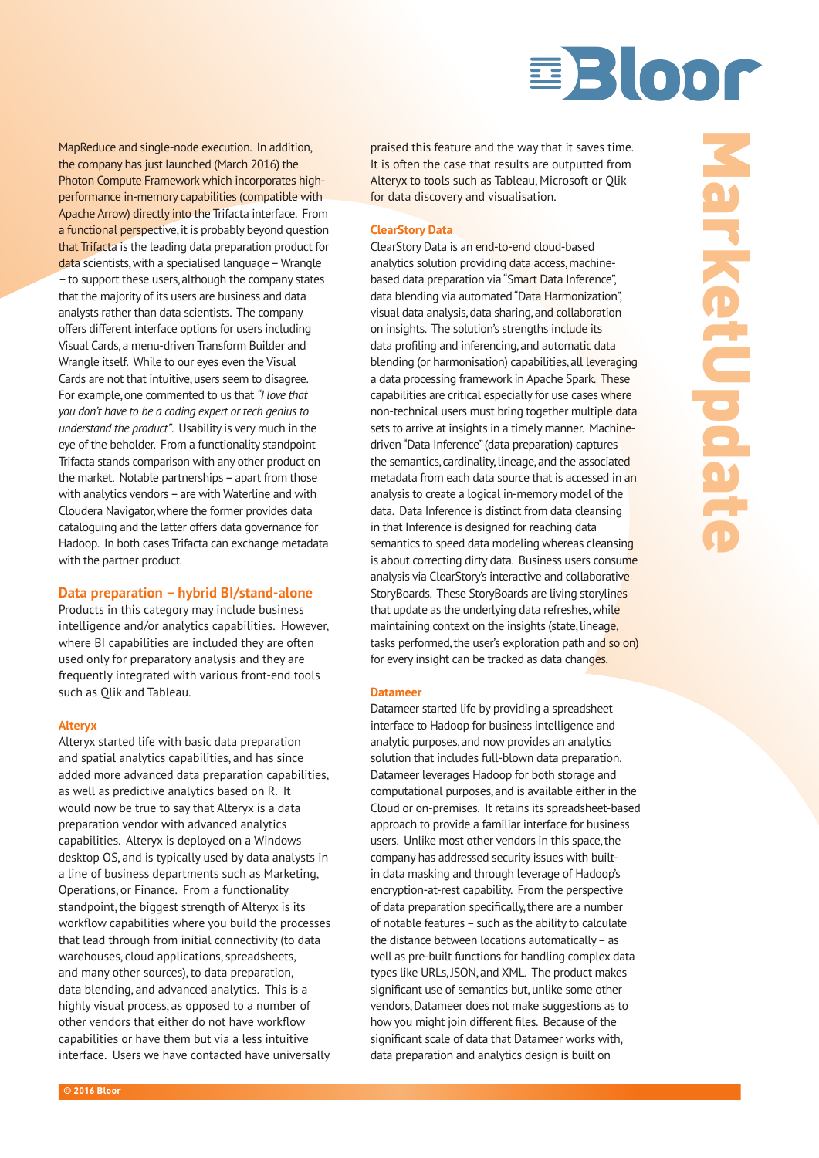

MapReduce and single-node execution. In addition, the company has just launched (March 2016) the Photon Compute Framework which incorporates highperformance in-memory capabilities (compatible with Apache Arrow) directly into the Trifacta interface. From a functional perspective, it is probably beyond question that Trifacta is the leading data preparation product for data scientists, with a specialised language – Wrangle – to support these users, although the company states that the majority of its users are business and data analysts rather than data scientists. The company offers different interface options for users including Visual Cards, a menu-driven Transform Builder and Wrangle itself. While to our eyes even the Visual Cards are not that intuitive, users seem to disagree. For example, one commented to us that *"I love that you don't have to be a coding expert or tech genius to understand the product"*. Usability is very much in the eye of the beholder. From a functionality standpoint Trifacta stands comparison with any other product on the market. Notable partnerships – apart from those with analytics vendors – are with Waterline and with Cloudera Navigator, where the former provides data cataloguing and the latter offers data governance for Hadoop. In both cases Trifacta can exchange metadata with the partner product.

#### **Data preparation – hybrid BI/stand-alone**

Products in this category may include business intelligence and/or analytics capabilities. However, where BI capabilities are included they are often used only for preparatory analysis and they are frequently integrated with various front-end tools such as Qlik and Tableau.

#### **Alteryx**

Alteryx started life with basic data preparation and spatial analytics capabilities, and has since added more advanced data preparation capabilities, as well as predictive analytics based on R. It would now be true to say that Alteryx is a data preparation vendor with advanced analytics capabilities. Alteryx is deployed on a Windows desktop OS, and is typically used by data analysts in a line of business departments such as Marketing, Operations, or Finance. From a functionality standpoint, the biggest strength of Alteryx is its workflow capabilities where you build the processes that lead through from initial connectivity (to data warehouses, cloud applications, spreadsheets, and many other sources), to data preparation, data blending, and advanced analytics. This is a highly visual process, as opposed to a number of other vendors that either do not have workflow capabilities or have them but via a less intuitive interface. Users we have contacted have universally

praised this feature and the way that it saves time. It is often the case that results are outputted from Alteryx to tools such as Tableau, Microsoft or Qlik for data discovery and visualisation.

#### **ClearStory Data**

ClearStory Data is an end-to-end cloud-based analytics solution providing data access, machinebased data preparation via "Smart Data Inference", data blending via automated "Data Harmonization", visual data analysis, data sharing, and collaboration on insights. The solution's strengths include its data profiling and inferencing, and automatic data blending (or harmonisation) capabilities, all leveraging a data processing framework in Apache Spark. These capabilities are critical especially for use cases where non-technical users must bring together multiple data sets to arrive at insights in a timely manner. Machinedriven "Data Inference" (data preparation) captures the semantics, cardinality, lineage, and the associated metadata from each data source that is accessed in an analysis to create a logical in-memory model of the data. Data Inference is distinct from data cleansing in that Inference is designed for reaching data semantics to speed data modeling whereas cleansing is about correcting dirty data. Business users consume analysis via ClearStory's interactive and collaborative StoryBoards. These StoryBoards are living storylines that update as the underlying data refreshes, while maintaining context on the insights (state, lineage, tasks performed, the user's exploration path and so on) for every insight can be tracked as data changes.

#### **Datameer**

Datameer started life by providing a spreadsheet interface to Hadoop for business intelligence and analytic purposes, and now provides an analytics solution that includes full-blown data preparation. Datameer leverages Hadoop for both storage and computational purposes, and is available either in the Cloud or on-premises. It retains its spreadsheet-based approach to provide a familiar interface for business users. Unlike most other vendors in this space, the company has addressed security issues with builtin data masking and through leverage of Hadoop's encryption-at-rest capability. From the perspective of data preparation specifically, there are a number of notable features – such as the ability to calculate the distance between locations automatically – as well as pre-built functions for handling complex data types like URLs, JSON, and XML. The product makes significant use of semantics but, unlike some other vendors, Datameer does not make suggestions as to how you might join different files. Because of the significant scale of data that Datameer works with, data preparation and analytics design is built on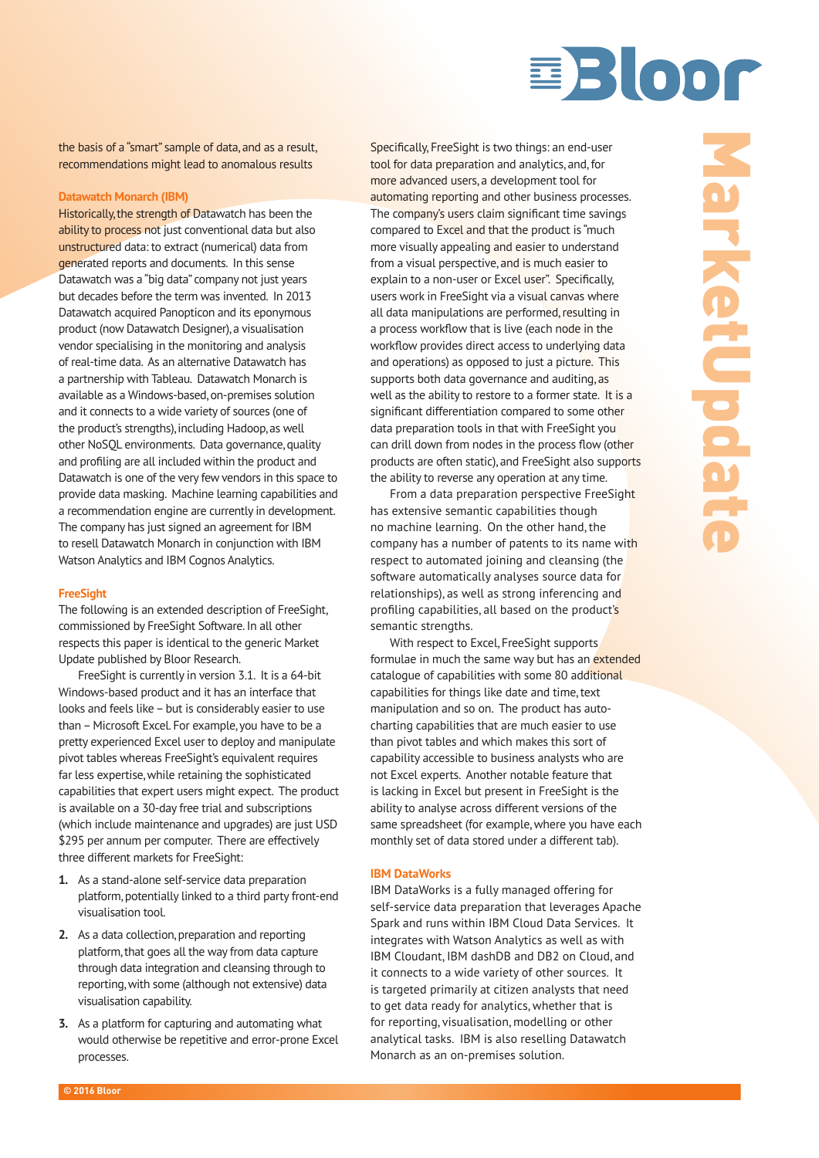

the basis of a "smart" sample of data, and as a result, recommendations might lead to anomalous results

#### **Datawatch Monarch (IBM)**

Historically, the strength of Datawatch has been the ability to process not just conventional data but also unstructured data: to extract (numerical) data from generated reports and documents. In this sense Datawatch was a "big data" company not just years but decades before the term was invented. In 2013 Datawatch acquired Panopticon and its eponymous product (now Datawatch Designer), a visualisation vendor specialising in the monitoring and analysis of real-time data. As an alternative Datawatch has a partnership with Tableau. Datawatch Monarch is available as a Windows-based, on-premises solution and it connects to a wide variety of sources (one of the product's strengths), including Hadoop, as well other NoSQL environments. Data governance, quality and profiling are all included within the product and Datawatch is one of the very few vendors in this space to provide data masking. Machine learning capabilities and a recommendation engine are currently in development. The company has just signed an agreement for IBM to resell Datawatch Monarch in conjunction with IBM Watson Analytics and IBM Cognos Analytics.

#### **FreeSight**

The following is an extended description of FreeSight, commissioned by FreeSight Software. In all other respects this paper is identical to the generic Market Update published by Bloor Research.

FreeSight is currently in version 3.1. It is a 64-bit Windows-based product and it has an interface that looks and feels like – but is considerably easier to use than – Microsoft Excel. For example, you have to be a pretty experienced Excel user to deploy and manipulate pivot tables whereas FreeSight's equivalent requires far less expertise, while retaining the sophisticated capabilities that expert users might expect. The product is available on a 30-day free trial and subscriptions (which include maintenance and upgrades) are just USD \$295 per annum per computer. There are effectively three different markets for FreeSight:

- **1.** As a stand-alone self-service data preparation platform, potentially linked to a third party front-end visualisation tool.
- **2.** As a data collection, preparation and reporting platform, that goes all the way from data capture through data integration and cleansing through to reporting, with some (although not extensive) data visualisation capability.
- **3.** As a platform for capturing and automating what would otherwise be repetitive and error-prone Excel processes.

Specifically, FreeSight is two things: an end-user tool for data preparation and analytics, and, for more advanced users, a development tool for automating reporting and other business processes. The company's users claim significant time savings compared to Excel and that the product is "much more visually appealing and easier to understand from a visual perspective, and is much easier to explain to a non-user or Excel user". Specifically, users work in FreeSight via a visual canvas where all data manipulations are performed, resulting in a process workflow that is live (each node in the workflow provides direct access to underlying data and operations) as opposed to just a picture. This supports both data governance and auditing, as well as the ability to restore to a former state. It is a significant differentiation compared to some other data preparation tools in that with FreeSight you can drill down from nodes in the process flow (other products are often static), and FreeSight also supports the ability to reverse any operation at any time.

From a data preparation perspective FreeSight has extensive semantic capabilities though no machine learning. On the other hand, the company has a number of patents to its name with respect to automated joining and cleansing (the software automatically analyses source data for relationships), as well as strong inferencing and profiling capabilities, all based on the product's semantic strengths.

With respect to Excel, FreeSight supports formulae in much the same way but has an extended catalogue of capabilities with some 80 additional capabilities for things like date and time, text manipulation and so on. The product has autocharting capabilities that are much easier to use than pivot tables and which makes this sort of capability accessible to business analysts who are not Excel experts. Another notable feature that is lacking in Excel but present in FreeSight is the ability to analyse across different versions of the same spreadsheet (for example, where you have each monthly set of data stored under a different tab).

#### **IBM DataWorks**

IBM DataWorks is a fully managed offering for self-service data preparation that leverages Apache Spark and runs within IBM Cloud Data Services. It integrates with Watson Analytics as well as with IBM Cloudant, IBM dashDB and DB2 on Cloud, and it connects to a wide variety of other sources. It is targeted primarily at citizen analysts that need to get data ready for analytics, whether that is for reporting, visualisation, modelling or other analytical tasks. IBM is also reselling Datawatch Monarch as an on-premises solution.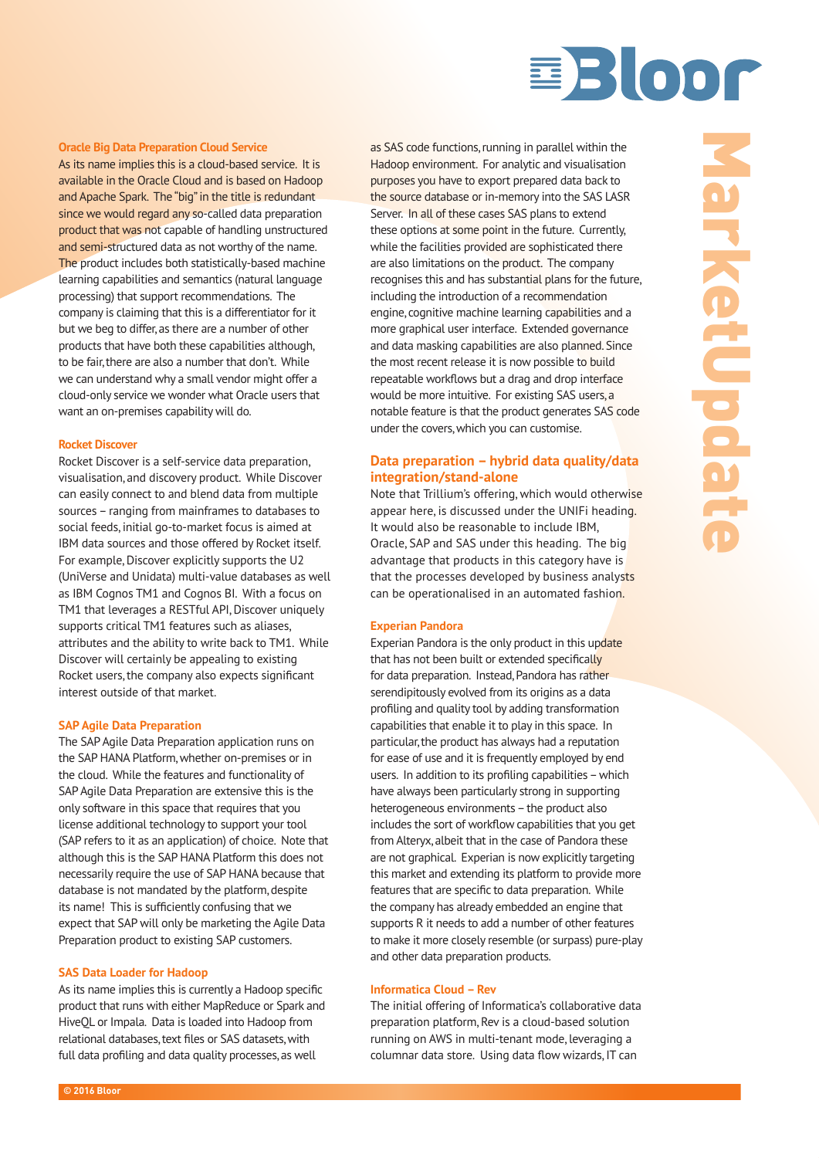# BBLOOM

#### **Oracle Big Data Preparation Cloud Service**

As its name implies this is a cloud-based service. It is available in the Oracle Cloud and is based on Hadoop and Apache Spark. The "big" in the title is redundant since we would regard any so-called data preparation product that was not capable of handling unstructured and semi-structured data as not worthy of the name. The product includes both statistically-based machine learning capabilities and semantics (natural language processing) that support recommendations. The company is claiming that this is a differentiator for it but we beg to differ, as there are a number of other products that have both these capabilities although, to be fair, there are also a number that don't. While we can understand why a small vendor might offer a cloud-only service we wonder what Oracle users that want an on-premises capability will do.

#### **Rocket Discover**

Rocket Discover is a self-service data preparation, visualisation, and discovery product. While Discover can easily connect to and blend data from multiple sources – ranging from mainframes to databases to social feeds, initial go-to-market focus is aimed at IBM data sources and those offered by Rocket itself. For example, Discover explicitly supports the U2 (UniVerse and Unidata) multi-value databases as well as IBM Cognos TM1 and Cognos BI. With a focus on TM1 that leverages a RESTful API, Discover uniquely supports critical TM1 features such as aliases, attributes and the ability to write back to TM1. While Discover will certainly be appealing to existing Rocket users, the company also expects significant interest outside of that market.

#### **SAP Agile Data Preparation**

The SAP Agile Data Preparation application runs on the SAP HANA Platform, whether on-premises or in the cloud. While the features and functionality of SAP Agile Data Preparation are extensive this is the only software in this space that requires that you license additional technology to support your tool (SAP refers to it as an application) of choice. Note that although this is the SAP HANA Platform this does not necessarily require the use of SAP HANA because that database is not mandated by the platform, despite its name! This is sufficiently confusing that we expect that SAP will only be marketing the Agile Data Preparation product to existing SAP customers.

#### **SAS Data Loader for Hadoop**

As its name implies this is currently a Hadoop specific product that runs with either MapReduce or Spark and HiveQL or Impala. Data is loaded into Hadoop from relational databases, text files or SAS datasets, with full data profiling and data quality processes, as well

as SAS code functions, running in parallel within the Hadoop environment. For analytic and visualisation purposes you have to export prepared data back to the source database or in-memory into the SAS LASR Server. In all of these cases SAS plans to extend these options at some point in the future. Currently, while the facilities provided are sophisticated there are also limitations on the product. The company recognises this and has substantial plans for the future, including the introduction of a recommendation engine, cognitive machine learning capabilities and a more graphical user interface. Extended governance and data masking capabilities are also planned. Since the most recent release it is now possible to build repeatable workflows but a drag and drop interface would be more intuitive. For existing SAS users, a notable feature is that the product generates SAS code under the covers, which you can customise.

## **Data preparation – hybrid data quality/data integration/stand-alone**

Note that Trillium's offering, which would otherwise appear here, is discussed under the UNIFi heading. It would also be reasonable to include IBM, Oracle, SAP and SAS under this heading. The big advantage that products in this category have is that the processes developed by business analysts can be operationalised in an automated fashion.

#### **Experian Pandora**

Experian Pandora is the only product in this update that has not been built or extended specifically for data preparation. Instead, Pandora has rather serendipitously evolved from its origins as a data profiling and quality tool by adding transformation capabilities that enable it to play in this space. In particular, the product has always had a reputation for ease of use and it is frequently employed by end users. In addition to its profiling capabilities – which have always been particularly strong in supporting heterogeneous environments – the product also includes the sort of workflow capabilities that you get from Alteryx, albeit that in the case of Pandora these are not graphical. Experian is now explicitly targeting this market and extending its platform to provide more features that are specific to data preparation. While the company has already embedded an engine that supports R it needs to add a number of other features to make it more closely resemble (or surpass) pure-play and other data preparation products.

#### **Informatica Cloud – Rev**

The initial offering of Informatica's collaborative data preparation platform, Rev is a cloud-based solution running on AWS in multi-tenant mode, leveraging a columnar data store. Using data flow wizards, IT can